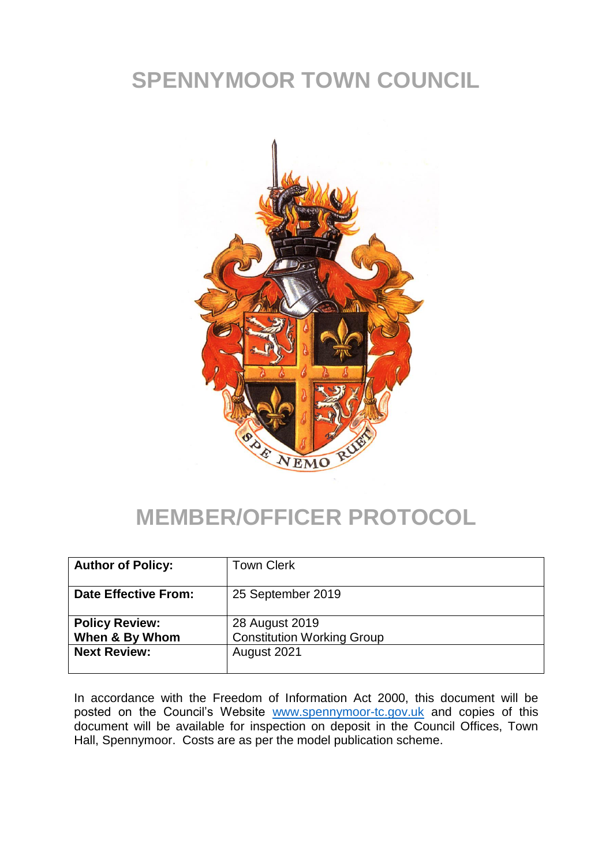# **SPENNYMOOR TOWN COUNCIL**



#### **MEMBER/OFFICER PROTOCOL**

| <b>Author of Policy:</b> | <b>Town Clerk</b>                 |
|--------------------------|-----------------------------------|
| Date Effective From:     | 25 September 2019                 |
| <b>Policy Review:</b>    | 28 August 2019                    |
| When & By Whom           | <b>Constitution Working Group</b> |
| <b>Next Review:</b>      | August 2021                       |

In accordance with the Freedom of Information Act 2000, this document will be posted on the Council's Website [www.spennymoor-tc.gov.uk](http://www.spennymoor-tc.gov.uk/) and copies of this document will be available for inspection on deposit in the Council Offices, Town Hall, Spennymoor. Costs are as per the model publication scheme.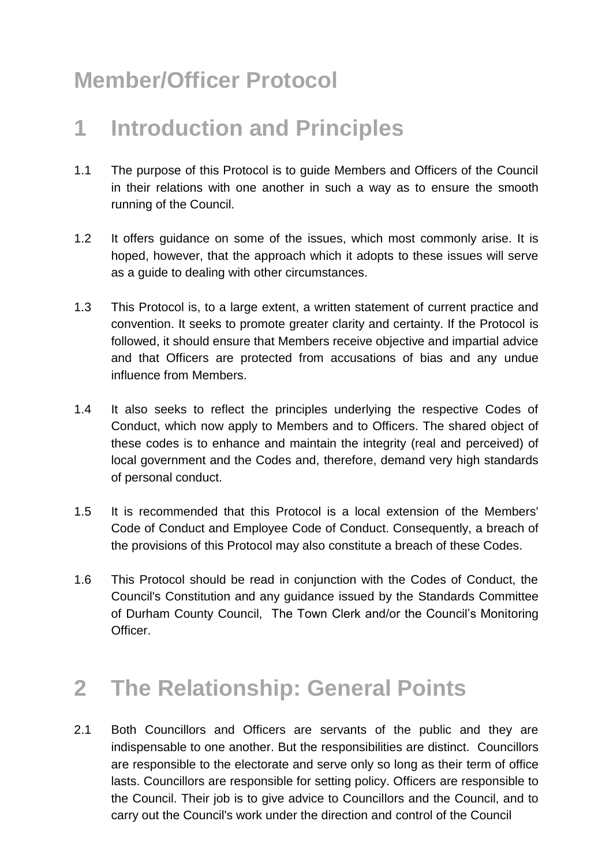# **Member/Officer Protocol**

## **1 Introduction and Principles**

- 1.1 The purpose of this Protocol is to guide Members and Officers of the Council in their relations with one another in such a way as to ensure the smooth running of the Council.
- 1.2 It offers guidance on some of the issues, which most commonly arise. It is hoped, however, that the approach which it adopts to these issues will serve as a guide to dealing with other circumstances.
- 1.3 This Protocol is, to a large extent, a written statement of current practice and convention. It seeks to promote greater clarity and certainty. If the Protocol is followed, it should ensure that Members receive objective and impartial advice and that Officers are protected from accusations of bias and any undue influence from Members.
- 1.4 It also seeks to reflect the principles underlying the respective Codes of Conduct, which now apply to Members and to Officers. The shared object of these codes is to enhance and maintain the integrity (real and perceived) of local government and the Codes and, therefore, demand very high standards of personal conduct.
- 1.5 It is recommended that this Protocol is a local extension of the Members' Code of Conduct and Employee Code of Conduct. Consequently, a breach of the provisions of this Protocol may also constitute a breach of these Codes.
- 1.6 This Protocol should be read in conjunction with the Codes of Conduct, the Council's Constitution and any guidance issued by the Standards Committee of Durham County Council, The Town Clerk and/or the Council's Monitoring Officer.

# **2 The Relationship: General Points**

2.1 Both Councillors and Officers are servants of the public and they are indispensable to one another. But the responsibilities are distinct. Councillors are responsible to the electorate and serve only so long as their term of office lasts. Councillors are responsible for setting policy. Officers are responsible to the Council. Their job is to give advice to Councillors and the Council, and to carry out the Council's work under the direction and control of the Council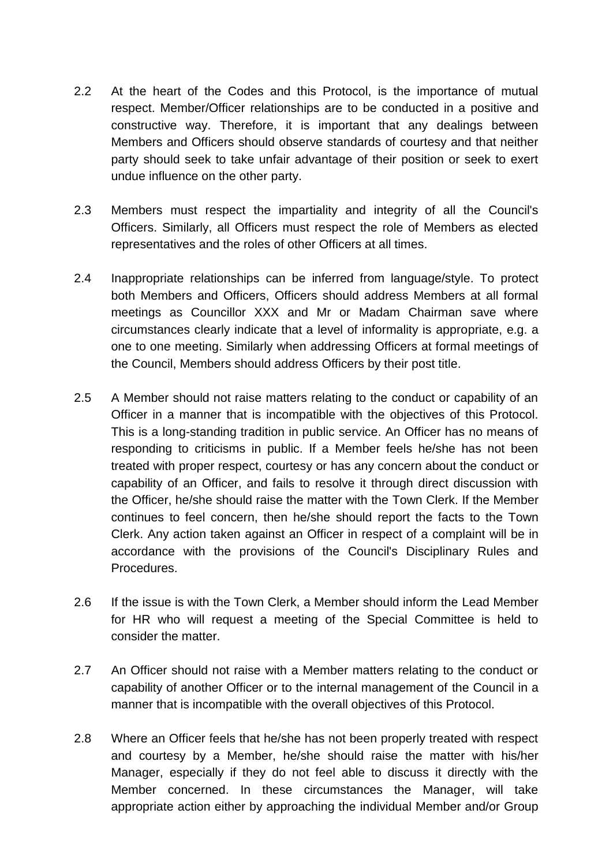- 2.2 At the heart of the Codes and this Protocol, is the importance of mutual respect. Member/Officer relationships are to be conducted in a positive and constructive way. Therefore, it is important that any dealings between Members and Officers should observe standards of courtesy and that neither party should seek to take unfair advantage of their position or seek to exert undue influence on the other party.
- 2.3 Members must respect the impartiality and integrity of all the Council's Officers. Similarly, all Officers must respect the role of Members as elected representatives and the roles of other Officers at all times.
- 2.4 Inappropriate relationships can be inferred from language/style. To protect both Members and Officers, Officers should address Members at all formal meetings as Councillor XXX and Mr or Madam Chairman save where circumstances clearly indicate that a level of informality is appropriate, e.g. a one to one meeting. Similarly when addressing Officers at formal meetings of the Council, Members should address Officers by their post title.
- 2.5 A Member should not raise matters relating to the conduct or capability of an Officer in a manner that is incompatible with the objectives of this Protocol. This is a long-standing tradition in public service. An Officer has no means of responding to criticisms in public. If a Member feels he/she has not been treated with proper respect, courtesy or has any concern about the conduct or capability of an Officer, and fails to resolve it through direct discussion with the Officer, he/she should raise the matter with the Town Clerk. If the Member continues to feel concern, then he/she should report the facts to the Town Clerk. Any action taken against an Officer in respect of a complaint will be in accordance with the provisions of the Council's Disciplinary Rules and Procedures.
- 2.6 If the issue is with the Town Clerk, a Member should inform the Lead Member for HR who will request a meeting of the Special Committee is held to consider the matter.
- 2.7 An Officer should not raise with a Member matters relating to the conduct or capability of another Officer or to the internal management of the Council in a manner that is incompatible with the overall objectives of this Protocol.
- 2.8 Where an Officer feels that he/she has not been properly treated with respect and courtesy by a Member, he/she should raise the matter with his/her Manager, especially if they do not feel able to discuss it directly with the Member concerned. In these circumstances the Manager, will take appropriate action either by approaching the individual Member and/or Group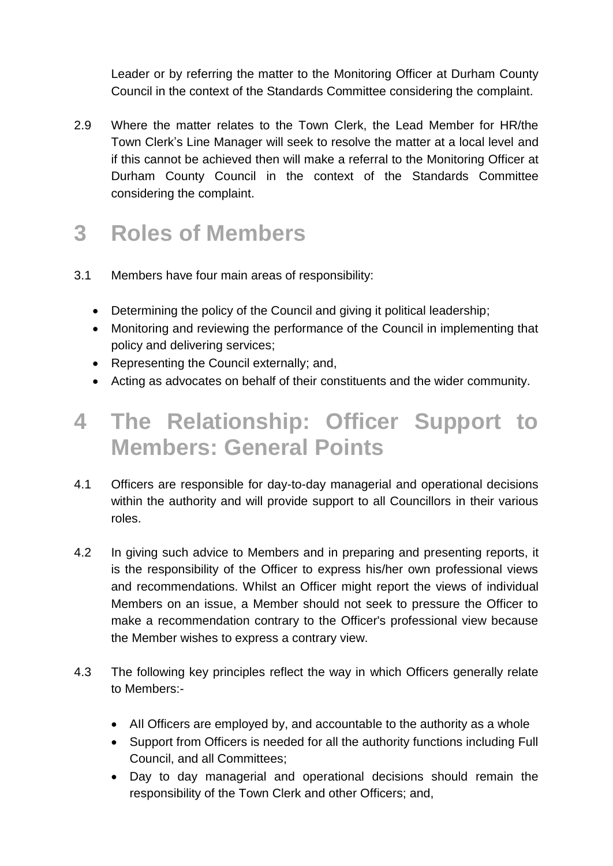Leader or by referring the matter to the Monitoring Officer at Durham County Council in the context of the Standards Committee considering the complaint.

2.9 Where the matter relates to the Town Clerk, the Lead Member for HR/the Town Clerk's Line Manager will seek to resolve the matter at a local level and if this cannot be achieved then will make a referral to the Monitoring Officer at Durham County Council in the context of the Standards Committee considering the complaint.

#### **3 Roles of Members**

- 3.1 Members have four main areas of responsibility:
	- Determining the policy of the Council and giving it political leadership;
	- Monitoring and reviewing the performance of the Council in implementing that policy and delivering services;
	- Representing the Council externally; and,
	- Acting as advocates on behalf of their constituents and the wider community.

## **4 The Relationship: Officer Support to Members: General Points**

- 4.1 Officers are responsible for day-to-day managerial and operational decisions within the authority and will provide support to all Councillors in their various roles.
- 4.2 In giving such advice to Members and in preparing and presenting reports, it is the responsibility of the Officer to express his/her own professional views and recommendations. Whilst an Officer might report the views of individual Members on an issue, a Member should not seek to pressure the Officer to make a recommendation contrary to the Officer's professional view because the Member wishes to express a contrary view.
- 4.3 The following key principles reflect the way in which Officers generally relate to Members:-
	- All Officers are employed by, and accountable to the authority as a whole
	- Support from Officers is needed for all the authority functions including Full Council, and all Committees;
	- Day to day managerial and operational decisions should remain the responsibility of the Town Clerk and other Officers; and,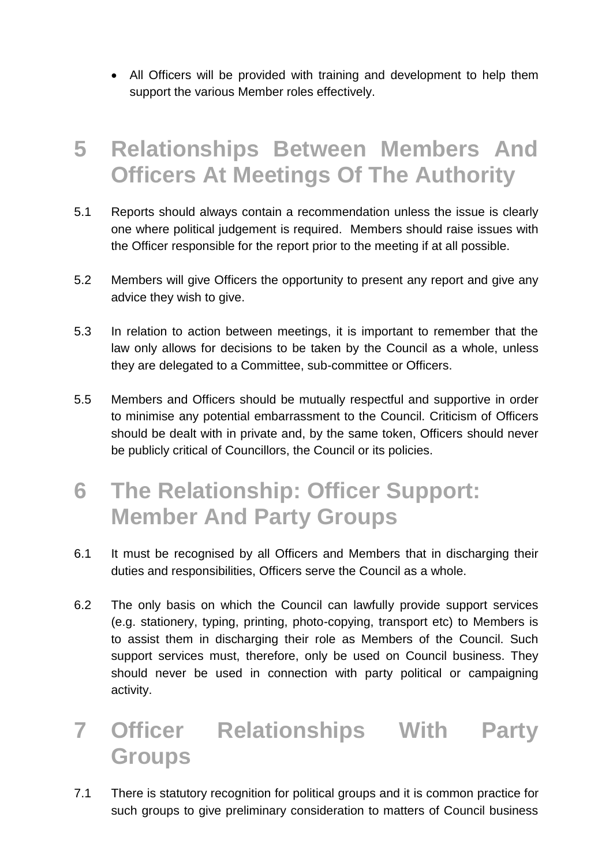• All Officers will be provided with training and development to help them support the various Member roles effectively.

#### **5 Relationships Between Members And Officers At Meetings Of The Authority**

- 5.1 Reports should always contain a recommendation unless the issue is clearly one where political judgement is required. Members should raise issues with the Officer responsible for the report prior to the meeting if at all possible.
- 5.2 Members will give Officers the opportunity to present any report and give any advice they wish to give.
- 5.3 In relation to action between meetings, it is important to remember that the law only allows for decisions to be taken by the Council as a whole, unless they are delegated to a Committee, sub-committee or Officers.
- 5.5 Members and Officers should be mutually respectful and supportive in order to minimise any potential embarrassment to the Council. Criticism of Officers should be dealt with in private and, by the same token, Officers should never be publicly critical of Councillors, the Council or its policies.
- **6 The Relationship: Officer Support: Member And Party Groups**
- 6.1 It must be recognised by all Officers and Members that in discharging their duties and responsibilities, Officers serve the Council as a whole.
- 6.2 The only basis on which the Council can lawfully provide support services (e.g. stationery, typing, printing, photo-copying, transport etc) to Members is to assist them in discharging their role as Members of the Council. Such support services must, therefore, only be used on Council business. They should never be used in connection with party political or campaigning activity.

# **7 Officer Relationships With Party Groups**

7.1 There is statutory recognition for political groups and it is common practice for such groups to give preliminary consideration to matters of Council business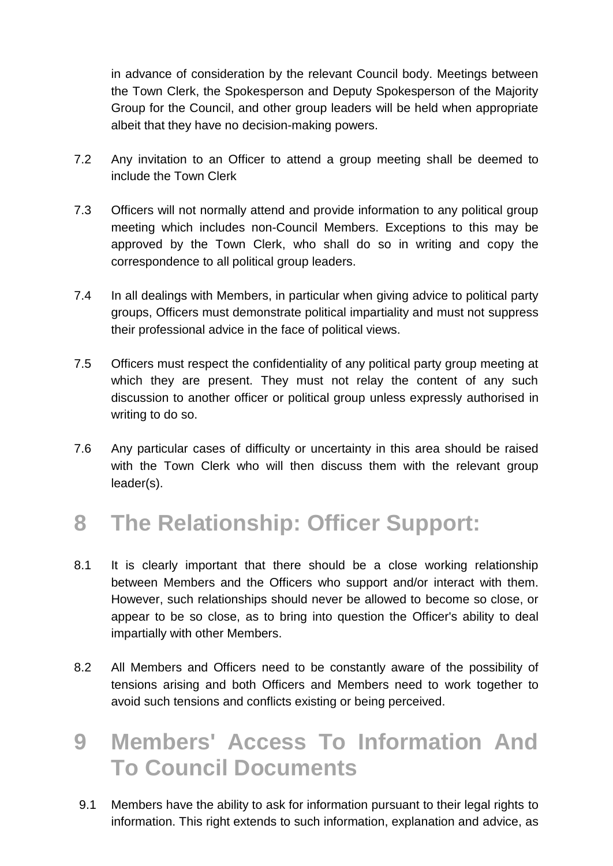in advance of consideration by the relevant Council body. Meetings between the Town Clerk, the Spokesperson and Deputy Spokesperson of the Majority Group for the Council, and other group leaders will be held when appropriate albeit that they have no decision-making powers.

- 7.2 Any invitation to an Officer to attend a group meeting shall be deemed to include the Town Clerk
- 7.3 Officers will not normally attend and provide information to any political group meeting which includes non-Council Members. Exceptions to this may be approved by the Town Clerk, who shall do so in writing and copy the correspondence to all political group leaders.
- 7.4 In all dealings with Members, in particular when giving advice to political party groups, Officers must demonstrate political impartiality and must not suppress their professional advice in the face of political views.
- 7.5 Officers must respect the confidentiality of any political party group meeting at which they are present. They must not relay the content of any such discussion to another officer or political group unless expressly authorised in writing to do so.
- 7.6 Any particular cases of difficulty or uncertainty in this area should be raised with the Town Clerk who will then discuss them with the relevant group leader(s).

# **8 The Relationship: Officer Support:**

- 8.1 It is clearly important that there should be a close working relationship between Members and the Officers who support and/or interact with them. However, such relationships should never be allowed to become so close, or appear to be so close, as to bring into question the Officer's ability to deal impartially with other Members.
- 8.2 All Members and Officers need to be constantly aware of the possibility of tensions arising and both Officers and Members need to work together to avoid such tensions and conflicts existing or being perceived.
- **9 Members' Access To Information And To Council Documents**
- 9.1 Members have the ability to ask for information pursuant to their legal rights to information. This right extends to such information, explanation and advice, as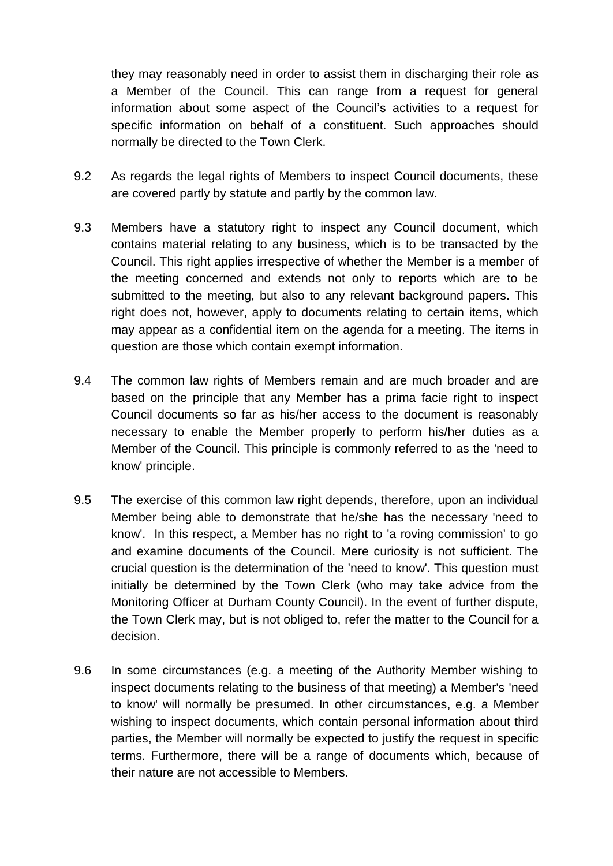they may reasonably need in order to assist them in discharging their role as a Member of the Council. This can range from a request for general information about some aspect of the Council's activities to a request for specific information on behalf of a constituent. Such approaches should normally be directed to the Town Clerk.

- 9.2 As regards the legal rights of Members to inspect Council documents, these are covered partly by statute and partly by the common law.
- 9.3 Members have a statutory right to inspect any Council document, which contains material relating to any business, which is to be transacted by the Council. This right applies irrespective of whether the Member is a member of the meeting concerned and extends not only to reports which are to be submitted to the meeting, but also to any relevant background papers. This right does not, however, apply to documents relating to certain items, which may appear as a confidential item on the agenda for a meeting. The items in question are those which contain exempt information.
- 9.4 The common law rights of Members remain and are much broader and are based on the principle that any Member has a prima facie right to inspect Council documents so far as his/her access to the document is reasonably necessary to enable the Member properly to perform his/her duties as a Member of the Council. This principle is commonly referred to as the 'need to know' principle.
- 9.5 The exercise of this common law right depends, therefore, upon an individual Member being able to demonstrate that he/she has the necessary 'need to know'. In this respect, a Member has no right to 'a roving commission' to go and examine documents of the Council. Mere curiosity is not sufficient. The crucial question is the determination of the 'need to know'. This question must initially be determined by the Town Clerk (who may take advice from the Monitoring Officer at Durham County Council). In the event of further dispute, the Town Clerk may, but is not obliged to, refer the matter to the Council for a decision.
- 9.6 In some circumstances (e.g. a meeting of the Authority Member wishing to inspect documents relating to the business of that meeting) a Member's 'need to know' will normally be presumed. In other circumstances, e.g. a Member wishing to inspect documents, which contain personal information about third parties, the Member will normally be expected to justify the request in specific terms. Furthermore, there will be a range of documents which, because of their nature are not accessible to Members.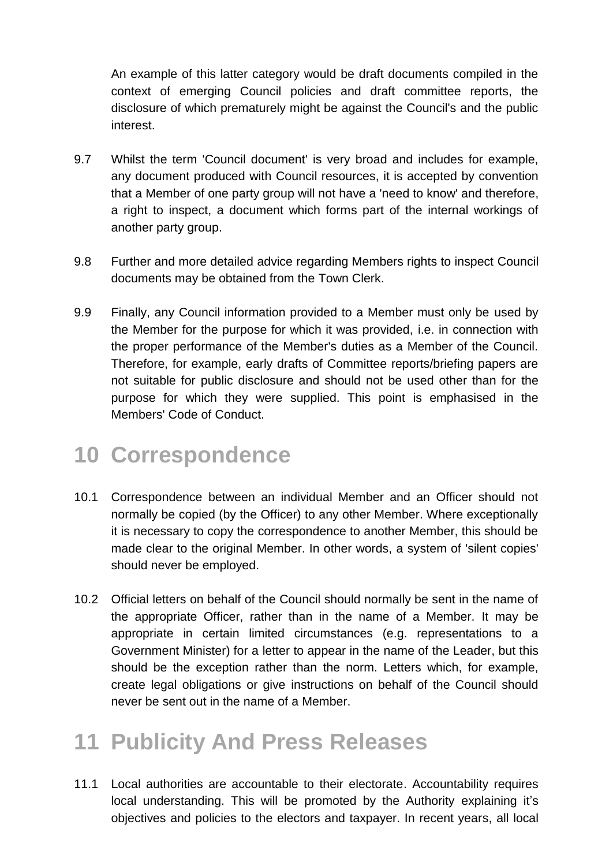An example of this latter category would be draft documents compiled in the context of emerging Council policies and draft committee reports, the disclosure of which prematurely might be against the Council's and the public interest.

- 9.7 Whilst the term 'Council document' is very broad and includes for example, any document produced with Council resources, it is accepted by convention that a Member of one party group will not have a 'need to know' and therefore, a right to inspect, a document which forms part of the internal workings of another party group.
- 9.8 Further and more detailed advice regarding Members rights to inspect Council documents may be obtained from the Town Clerk.
- 9.9 Finally, any Council information provided to a Member must only be used by the Member for the purpose for which it was provided, i.e. in connection with the proper performance of the Member's duties as a Member of the Council. Therefore, for example, early drafts of Committee reports/briefing papers are not suitable for public disclosure and should not be used other than for the purpose for which they were supplied. This point is emphasised in the Members' Code of Conduct.

## **10 Correspondence**

- 10.1 Correspondence between an individual Member and an Officer should not normally be copied (by the Officer) to any other Member. Where exceptionally it is necessary to copy the correspondence to another Member, this should be made clear to the original Member. In other words, a system of 'silent copies' should never be employed.
- 10.2 Official letters on behalf of the Council should normally be sent in the name of the appropriate Officer, rather than in the name of a Member. It may be appropriate in certain limited circumstances (e.g. representations to a Government Minister) for a letter to appear in the name of the Leader, but this should be the exception rather than the norm. Letters which, for example, create legal obligations or give instructions on behalf of the Council should never be sent out in the name of a Member.

## **11 Publicity And Press Releases**

11.1 Local authorities are accountable to their electorate. Accountability requires local understanding. This will be promoted by the Authority explaining it's objectives and policies to the electors and taxpayer. In recent years, all local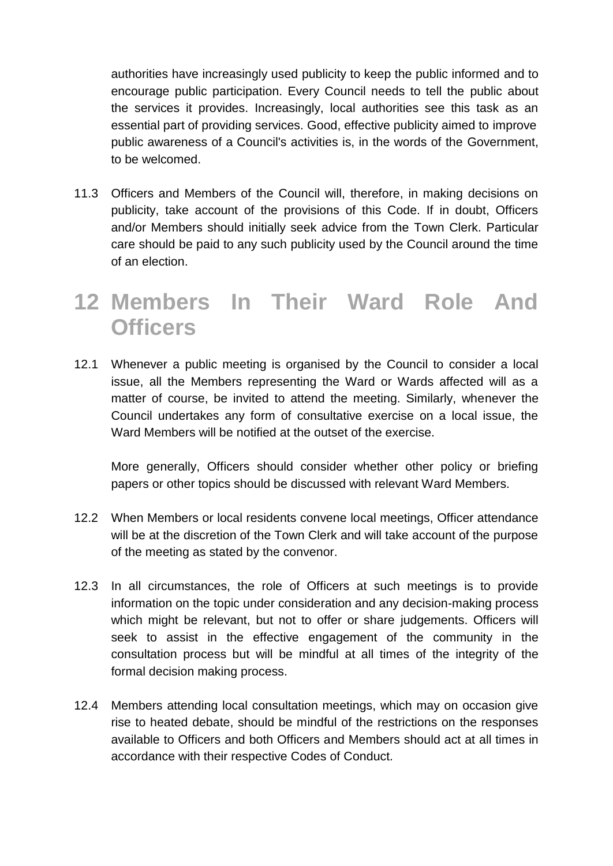authorities have increasingly used publicity to keep the public informed and to encourage public participation. Every Council needs to tell the public about the services it provides. Increasingly, local authorities see this task as an essential part of providing services. Good, effective publicity aimed to improve public awareness of a Council's activities is, in the words of the Government, to be welcomed.

11.3 Officers and Members of the Council will, therefore, in making decisions on publicity, take account of the provisions of this Code. If in doubt, Officers and/or Members should initially seek advice from the Town Clerk. Particular care should be paid to any such publicity used by the Council around the time of an election.

#### **12 Members In Their Ward Role And Officers**

12.1 Whenever a public meeting is organised by the Council to consider a local issue, all the Members representing the Ward or Wards affected will as a matter of course, be invited to attend the meeting. Similarly, whenever the Council undertakes any form of consultative exercise on a local issue, the Ward Members will be notified at the outset of the exercise.

More generally, Officers should consider whether other policy or briefing papers or other topics should be discussed with relevant Ward Members.

- 12.2 When Members or local residents convene local meetings, Officer attendance will be at the discretion of the Town Clerk and will take account of the purpose of the meeting as stated by the convenor.
- 12.3 In all circumstances, the role of Officers at such meetings is to provide information on the topic under consideration and any decision-making process which might be relevant, but not to offer or share judgements. Officers will seek to assist in the effective engagement of the community in the consultation process but will be mindful at all times of the integrity of the formal decision making process.
- 12.4 Members attending local consultation meetings, which may on occasion give rise to heated debate, should be mindful of the restrictions on the responses available to Officers and both Officers and Members should act at all times in accordance with their respective Codes of Conduct.